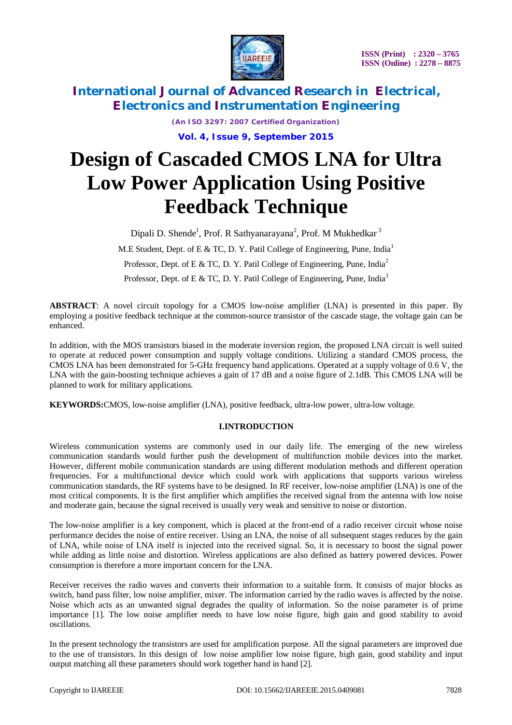

> *(An ISO 3297: 2007 Certified Organization)* **Vol. 4, Issue 9, September 2015**

# **Design of Cascaded CMOS LNA for Ultra Low Power Application Using Positive Feedback Technique**

Dipali D. Shende<sup>1</sup>, Prof. R Sathyanarayana<sup>2</sup>, Prof. M Mukhedkar<sup>3</sup>

M.E Student, Dept. of E & TC, D. Y. Patil College of Engineering, Pune, India<sup>1</sup>

Professor, Dept. of E & TC, D. Y. Patil College of Engineering, Pune, India<sup>2</sup>

Professor, Dept. of E & TC, D. Y. Patil College of Engineering, Pune, India<sup>3</sup>

**ABSTRACT**: A novel circuit topology for a CMOS low-noise amplifier (LNA) is presented in this paper. By employing a positive feedback technique at the common-source transistor of the cascade stage, the voltage gain can be enhanced.

In addition, with the MOS transistors biased in the moderate inversion region, the proposed LNA circuit is well suited to operate at reduced power consumption and supply voltage conditions. Utilizing a standard CMOS process, the CMOS LNA has been demonstrated for 5-GHz frequency band applications. Operated at a supply voltage of 0.6 V, the LNA with the gain-boosting technique achieves a gain of 17 dB and a noise figure of 2.1dB. This CMOS LNA will be planned to work for military applications.

**KEYWORDS:**CMOS, low-noise amplifier (LNA), positive feedback, ultra-low power, ultra-low voltage.

### **I.INTRODUCTION**

Wireless communication systems are commonly used in our daily life. The emerging of the new wireless communication standards would further push the development of multifunction mobile devices into the market. However, different mobile communication standards are using different modulation methods and different operation frequencies. For a multifunctional device which could work with applications that supports various wireless communication standards, the RF systems have to be designed. In RF receiver, low-noise amplifier (LNA) is one of the most critical components. It is the first amplifier which amplifies the received signal from the antenna with low noise and moderate gain, because the signal received is usually very weak and sensitive to noise or distortion.

The low-noise amplifier is a key component, which is placed at the front-end of a radio receiver circuit whose noise performance decides the noise of entire receiver. Using an LNA, the noise of all subsequent stages reduces by the gain of LNA, while noise of LNA itself is injected into the received signal. So, it is necessary to boost the signal power while adding as little noise and distortion. Wireless applications are also defined as battery powered devices. Power consumption is therefore a more important concern for the LNA.

Receiver receives the radio waves and converts their information to a suitable form. It consists of major blocks as switch, band pass filter, low noise amplifier, mixer. The information carried by the radio waves is affected by the noise. Noise which acts as an unwanted signal degrades the quality of information. So the noise parameter is of prime importance [1]. The low noise amplifier needs to have low noise figure, high gain and good stability to avoid oscillations.

In the present technology the transistors are used for amplification purpose. All the signal parameters are improved due to the use of transistors. In this design of low noise amplifier low noise figure, high gain, good stability and input output matching all these parameters should work together hand in hand [2].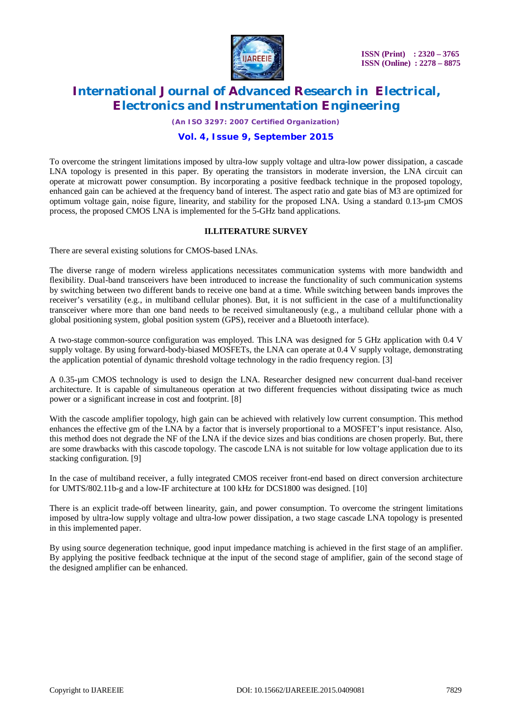

*(An ISO 3297: 2007 Certified Organization)*

#### **Vol. 4, Issue 9, September 2015**

To overcome the stringent limitations imposed by ultra-low supply voltage and ultra-low power dissipation, a cascade LNA topology is presented in this paper. By operating the transistors in moderate inversion, the LNA circuit can operate at microwatt power consumption. By incorporating a positive feedback technique in the proposed topology, enhanced gain can be achieved at the frequency band of interest. The aspect ratio and gate bias of M3 are optimized for optimum voltage gain, noise figure, linearity, and stability for the proposed LNA. Using a standard 0.13-µm CMOS process, the proposed CMOS LNA is implemented for the 5-GHz band applications.

### **II.LITERATURE SURVEY**

There are several existing solutions for CMOS-based LNAs.

The diverse range of modern wireless applications necessitates communication systems with more bandwidth and flexibility. Dual-band transceivers have been introduced to increase the functionality of such communication systems by switching between two different bands to receive one band at a time. While switching between bands improves the receiver's versatility (e.g., in multiband cellular phones). But, it is not sufficient in the case of a multifunctionality transceiver where more than one band needs to be received simultaneously (e.g., a multiband cellular phone with a global positioning system, global position system (GPS), receiver and a Bluetooth interface).

A two-stage common-source configuration was employed. This LNA was designed for 5 GHz application with 0.4 V supply voltage. By using forward-body-biased MOSFETs, the LNA can operate at 0.4 V supply voltage, demonstrating the application potential of dynamic threshold voltage technology in the radio frequency region. [3]

A 0.35-µm CMOS technology is used to design the LNA. Researcher designed new concurrent dual-band receiver architecture. It is capable of simultaneous operation at two different frequencies without dissipating twice as much power or a significant increase in cost and footprint. [8]

With the cascode amplifier topology, high gain can be achieved with relatively low current consumption. This method enhances the effective gm of the LNA by a factor that is inversely proportional to a MOSFET's input resistance. Also, this method does not degrade the NF of the LNA if the device sizes and bias conditions are chosen properly. But, there are some drawbacks with this cascode topology. The cascode LNA is not suitable for low voltage application due to its stacking configuration. [9]

In the case of multiband receiver, a fully integrated CMOS receiver front-end based on direct conversion architecture for UMTS/802.11b-g and a low-IF architecture at 100 kHz for DCS1800 was designed. [10]

There is an explicit trade-off between linearity, gain, and power consumption. To overcome the stringent limitations imposed by ultra-low supply voltage and ultra-low power dissipation, a two stage cascade LNA topology is presented in this implemented paper.

By using source degeneration technique, good input impedance matching is achieved in the first stage of an amplifier. By applying the positive feedback technique at the input of the second stage of amplifier, gain of the second stage of the designed amplifier can be enhanced.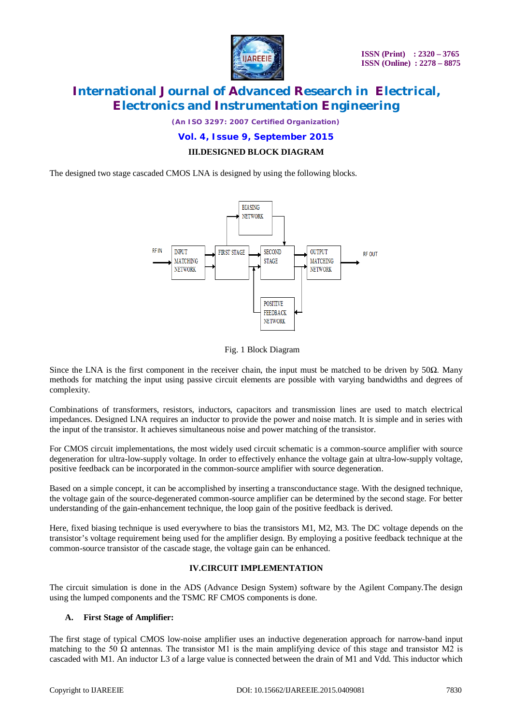

*(An ISO 3297: 2007 Certified Organization)*

### **Vol. 4, Issue 9, September 2015**

### **III.DESIGNED BLOCK DIAGRAM**

The designed two stage cascaded CMOS LNA is designed by using the following blocks.



#### Fig. 1 Block Diagram

Since the LNA is the first component in the receiver chain, the input must be matched to be driven by  $50\Omega$ . Many methods for matching the input using passive circuit elements are possible with varying bandwidths and degrees of complexity.

Combinations of transformers, resistors, inductors, capacitors and transmission lines are used to match electrical impedances. Designed LNA requires an inductor to provide the power and noise match. It is simple and in series with the input of the transistor. It achieves simultaneous noise and power matching of the transistor.

For CMOS circuit implementations, the most widely used circuit schematic is a common-source amplifier with source degeneration for ultra-low-supply voltage. In order to effectively enhance the voltage gain at ultra-low-supply voltage, positive feedback can be incorporated in the common-source amplifier with source degeneration.

Based on a simple concept, it can be accomplished by inserting a transconductance stage. With the designed technique, the voltage gain of the source-degenerated common-source amplifier can be determined by the second stage. For better understanding of the gain-enhancement technique, the loop gain of the positive feedback is derived.

Here, fixed biasing technique is used everywhere to bias the transistors M1, M2, M3. The DC voltage depends on the transistor's voltage requirement being used for the amplifier design. By employing a positive feedback technique at the common-source transistor of the cascade stage, the voltage gain can be enhanced.

### **IV.CIRCUIT IMPLEMENTATION**

The circuit simulation is done in the ADS (Advance Design System) software by the Agilent Company.The design using the lumped components and the TSMC RF CMOS components is done.

#### **A. First Stage of Amplifier:**

The first stage of typical CMOS low-noise amplifier uses an inductive degeneration approach for narrow-band input matching to the 50  $\Omega$  antennas. The transistor M1 is the main amplifying device of this stage and transistor M2 is cascaded with M1. An inductor L3 of a large value is connected between the drain of M1 and Vdd. This inductor which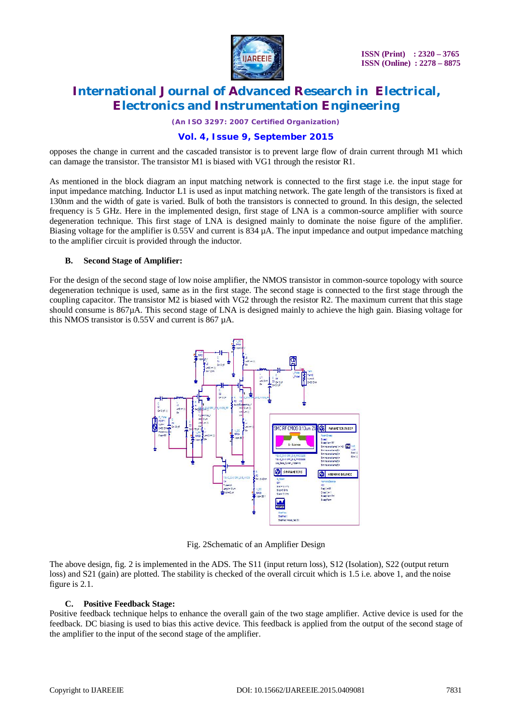

*(An ISO 3297: 2007 Certified Organization)*

### **Vol. 4, Issue 9, September 2015**

opposes the change in current and the cascaded transistor is to prevent large flow of drain current through M1 which can damage the transistor. The transistor M1 is biased with VG1 through the resistor R1.

As mentioned in the block diagram an input matching network is connected to the first stage i.e. the input stage for input impedance matching. Inductor L1 is used as input matching network. The gate length of the transistors is fixed at 130nm and the width of gate is varied. Bulk of both the transistors is connected to ground. In this design, the selected frequency is 5 GHz. Here in the implemented design, first stage of LNA is a common-source amplifier with source degeneration technique. This first stage of LNA is designed mainly to dominate the noise figure of the amplifier. Biasing voltage for the amplifier is 0.55V and current is 834 µA. The input impedance and output impedance matching to the amplifier circuit is provided through the inductor.

#### **B. Second Stage of Amplifier:**

For the design of the second stage of low noise amplifier, the NMOS transistor in common-source topology with source degeneration technique is used, same as in the first stage. The second stage is connected to the first stage through the coupling capacitor. The transistor M2 is biased with VG2 through the resistor R2. The maximum current that this stage should consume is 867µA. This second stage of LNA is designed mainly to achieve the high gain. Biasing voltage for this NMOS transistor is 0.55V and current is 867 µA.



Fig. 2Schematic of an Amplifier Design

The above design, fig. 2 is implemented in the ADS. The S11 (input return loss), S12 (Isolation), S22 (output return loss) and S21 (gain) are plotted. The stability is checked of the overall circuit which is 1.5 i.e. above 1, and the noise figure is 2.1.

#### **C. Positive Feedback Stage:**

Positive feedback technique helps to enhance the overall gain of the two stage amplifier. Active device is used for the feedback. DC biasing is used to bias this active device. This feedback is applied from the output of the second stage of the amplifier to the input of the second stage of the amplifier.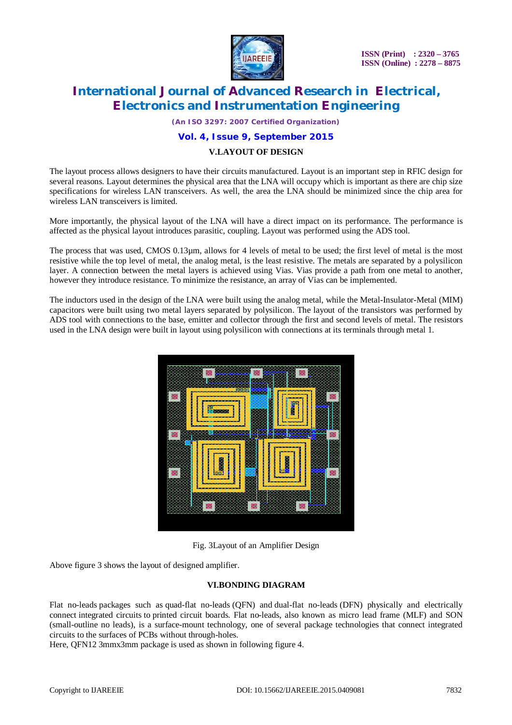

*(An ISO 3297: 2007 Certified Organization)*

### **Vol. 4, Issue 9, September 2015**

#### **V.LAYOUT OF DESIGN**

The layout process allows designers to have their circuits manufactured. Layout is an important step in RFIC design for several reasons. Layout determines the physical area that the LNA will occupy which is important as there are chip size specifications for wireless LAN transceivers. As well, the area the LNA should be minimized since the chip area for wireless LAN transceivers is limited.

More importantly, the physical layout of the LNA will have a direct impact on its performance. The performance is affected as the physical layout introduces parasitic, coupling. Layout was performed using the ADS tool.

The process that was used, CMOS 0.13µm, allows for 4 levels of metal to be used; the first level of metal is the most resistive while the top level of metal, the analog metal, is the least resistive. The metals are separated by a polysilicon layer. A connection between the metal layers is achieved using Vias. Vias provide a path from one metal to another, however they introduce resistance. To minimize the resistance, an array of Vias can be implemented.

The inductors used in the design of the LNA were built using the analog metal, while the Metal-Insulator-Metal (MIM) capacitors were built using two metal layers separated by polysilicon. The layout of the transistors was performed by ADS tool with connections to the base, emitter and collector through the first and second levels of metal. The resistors used in the LNA design were built in layout using polysilicon with connections at its terminals through metal 1.



Fig. 3Layout of an Amplifier Design

Above figure 3 shows the layout of designed amplifier.

### **VI.BONDING DIAGRAM**

Flat no-leads packages such as quad-flat no-leads (QFN) and dual-flat no-leads (DFN) physically and electrically connect integrated circuits to printed circuit boards. Flat no-leads, also known as micro lead frame (MLF) and SON (small-outline no leads), is a surface-mount technology, one of several package technologies that connect integrated circuits to the surfaces of PCBs without through-holes.

Here, QFN12 3mmx3mm package is used as shown in following figure 4.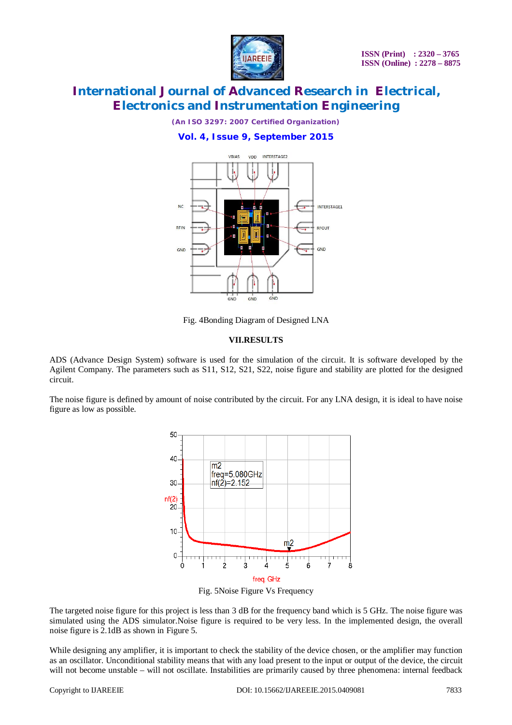

*(An ISO 3297: 2007 Certified Organization)*

### **Vol. 4, Issue 9, September 2015**



Fig. 4Bonding Diagram of Designed LNA

### **VII.RESULTS**

ADS (Advance Design System) software is used for the simulation of the circuit. It is software developed by the Agilent Company. The parameters such as S11, S12, S21, S22, noise figure and stability are plotted for the designed circuit.

The noise figure is defined by amount of noise contributed by the circuit. For any LNA design, it is ideal to have noise figure as low as possible.



Fig. 5Noise Figure Vs Frequency

The targeted noise figure for this project is less than 3 dB for the frequency band which is 5 GHz. The noise figure was simulated using the ADS simulator.Noise figure is required to be very less. In the implemented design, the overall noise figure is 2.1dB as shown in Figure 5.

While designing any amplifier, it is important to check the stability of the device chosen, or the amplifier may function as an oscillator. Unconditional stability means that with any load present to the input or output of the device, the circuit will not become unstable – will not oscillate. Instabilities are primarily caused by three phenomena: internal feedback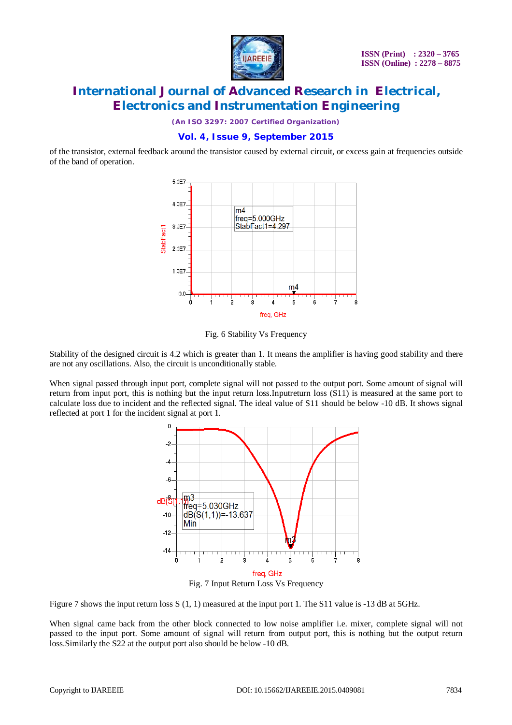

*(An ISO 3297: 2007 Certified Organization)*

### **Vol. 4, Issue 9, September 2015**

of the transistor, external feedback around the transistor caused by external circuit, or excess gain at frequencies outside of the band of operation.



Fig. 6 Stability Vs Frequency

Stability of the designed circuit is 4.2 which is greater than 1. It means the amplifier is having good stability and there are not any oscillations. Also, the circuit is unconditionally stable.

When signal passed through input port, complete signal will not passed to the output port. Some amount of signal will return from input port, this is nothing but the input return loss.Inputreturn loss (S11) is measured at the same port to calculate loss due to incident and the reflected signal. The ideal value of S11 should be below -10 dB. It shows signal reflected at port 1 for the incident signal at port 1.



Figure 7 shows the input return loss S (1, 1) measured at the input port 1. The S11 value is -13 dB at 5GHz.

When signal came back from the other block connected to low noise amplifier i.e. mixer, complete signal will not passed to the input port. Some amount of signal will return from output port, this is nothing but the output return loss.Similarly the S22 at the output port also should be below -10 dB.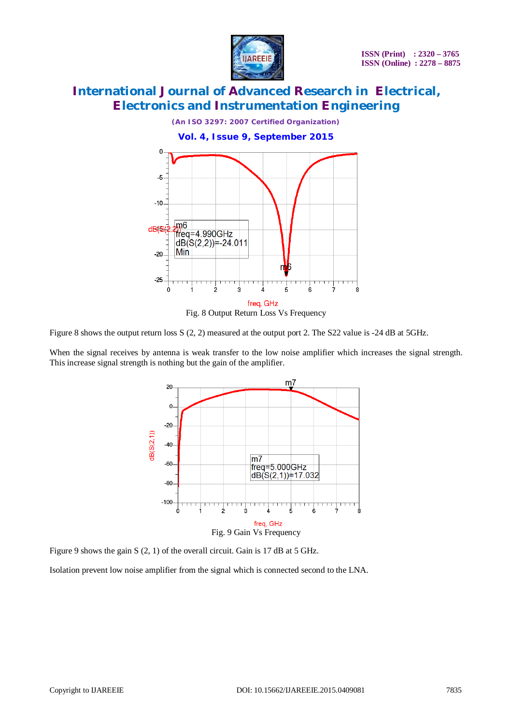

*(An ISO 3297: 2007 Certified Organization)*

**Vol. 4, Issue 9, September 2015**  $\Omega$  $\overline{5}$  $-10$ m6  $dB(56)$ freq=4.990GHz  $dB(S(2,2)) = -24.011$ Min  $-20$  $\frac{1}{7}$ Š Á freq, GHz Fig. 8 Output Return Loss Vs Frequency

Figure 8 shows the output return loss S (2, 2) measured at the output port 2. The S22 value is -24 dB at 5GHz.

When the signal receives by antenna is weak transfer to the low noise amplifier which increases the signal strength. This increase signal strength is nothing but the gain of the amplifier.



Figure 9 shows the gain S (2, 1) of the overall circuit. Gain is 17 dB at 5 GHz.

Isolation prevent low noise amplifier from the signal which is connected second to the LNA.